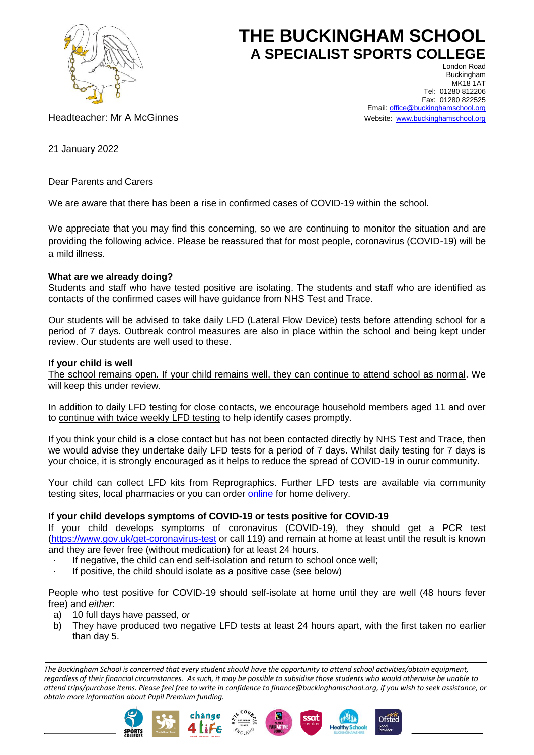

# **THE BUCKINGHAM SCHOOL A SPECIALIST SPORTS COLLEGE**

Headteacher: Mr A McGinnes

London Road Buckingham MK18 1AT Tel: 01280 812206 Fax: 01280 822525 Email[: office@buckinghamschool.org](mailto:office@buckinghamschool.org) Website: [www.buckinghamschool.org](http://www.buckinghamschool.org/)

21 January 2022

Dear Parents and Carers

We are aware that there has been a rise in confirmed cases of COVID-19 within the school.

We appreciate that you may find this concerning, so we are continuing to monitor the situation and are providing the following advice. Please be reassured that for most people, coronavirus (COVID-19) will be a mild illness.

# **What are we already doing?**

Students and staff who have tested positive are isolating. The students and staff who are identified as contacts of the confirmed cases will have guidance from NHS Test and Trace.

Our students will be advised to take daily LFD (Lateral Flow Device) tests before attending school for a period of 7 days. Outbreak control measures are also in place within the school and being kept under review. Our students are well used to these.

## **If your child is well**

The school remains open. If your child remains well, they can continue to attend school as normal. We will keep this under review.

In addition to daily LFD testing for close contacts, we encourage household members aged 11 and over to continue with twice weekly LFD testing to help identify cases promptly.

If you think your child is a close contact but has not been contacted directly by NHS Test and Trace, then we would advise they undertake daily LFD tests for a period of 7 days. Whilst daily testing for 7 days is your choice, it is strongly encouraged as it helps to reduce the spread of COVID-19 in ourur community.

Your child can collect LFD kits from Reprographics. Further LFD tests are available via community testing sites, local pharmacies or you can order [online](https://www.gov.uk/order-coronavirus-rapid-lateral-flow-tests) for home delivery.

# **If your child develops symptoms of COVID-19 or tests positive for COVID-19**

If your child develops symptoms of coronavirus (COVID-19), they should get a PCR test [\(https://www.gov.uk/get-coronavirus-test](https://www.gov.uk/get-coronavirus-test) or call 119) and remain at home at least until the result is known and they are fever free (without medication) for at least 24 hours.

- If negative, the child can end self-isolation and return to school once well;
- If positive, the child should isolate as a positive case (see below)

People who test positive for COVID-19 should self-isolate at home until they are well (48 hours fever free) and *either*:

- a) 10 full days have passed, *or*
- b) They have produced two negative LFD tests at least 24 hours apart, with the first taken no earlier than day 5.

*The Buckingham School is concerned that every student should have the opportunity to attend school activities/obtain equipment, regardless of their financial circumstances. As such, it may be possible to subsidise those students who would otherwise be unable to attend trips/purchase items. Please feel free to write in confidence to finance@buckinghamschool.org, if you wish to seek assistance, or obtain more information about Pupil Premium funding.*







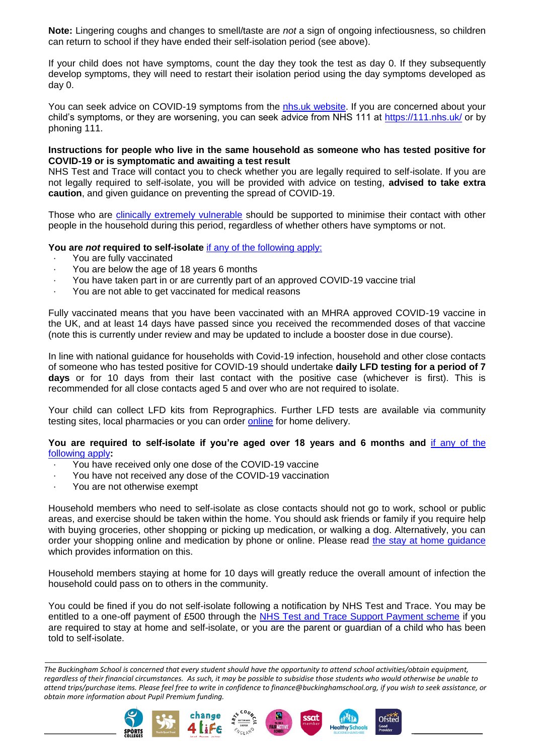**Note:** Lingering coughs and changes to smell/taste are *not* a sign of ongoing infectiousness, so children can return to school if they have ended their self-isolation period (see above).

If your child does not have symptoms, count the day they took the test as day 0. If they subsequently develop symptoms, they will need to restart their isolation period using the day symptoms developed as day 0.

You can seek advice on COVID-19 symptoms from the [nhs.uk website.](https://www.nhs.uk/conditions/coronavirus-covid-19/check-if-you-have-coronavirus-symptoms/) If you are concerned about your child's symptoms, or they are worsening, you can seek advice from NHS 111 at<https://111.nhs.uk/> or by phoning 111.

### **Instructions for people who live in the same household as someone who has tested positive for COVID-19 or is symptomatic and awaiting a test result**

NHS Test and Trace will contact you to check whether you are legally required to self-isolate. If you are not legally required to self-isolate, you will be provided with advice on testing, **advised to take extra caution**, and given guidance on preventing the spread of COVID-19.

Those who are [clinically extremely vulnerable](https://www.gov.uk/government/publications/guidance-on-shielding-and-protecting-extremely-vulnerable-persons-from-covid-19/guidance-on-shielding-and-protecting-extremely-vulnerable-persons-from-covid-19) should be supported to minimise their contact with other people in the household during this period, regardless of whether others have symptoms or not.

## **You are** *not* **required to self-isolate** [if any of the following apply:](https://www.gov.uk/government/publications/covid-19-stay-at-home-guidance/stay-at-home-guidance-for-households-with-possible-coronavirus-covid-19-infection#exempt)

- You are fully vaccinated
- You are below the age of 18 years 6 months
- · You have taken part in or are currently part of an approved COVID-19 vaccine trial
- · You are not able to get vaccinated for medical reasons

Fully vaccinated means that you have been vaccinated with an MHRA approved COVID-19 vaccine in the UK, and at least 14 days have passed since you received the recommended doses of that vaccine (note this is currently under review and may be updated to include a booster dose in due course).

In line with national guidance for households with Covid-19 infection, household and other close contacts of someone who has tested positive for COVID-19 should undertake **daily LFD testing for a period of 7 days** or for 10 days from their last contact with the positive case (whichever is first). This is recommended for all close contacts aged 5 and over who are not required to isolate.

Your child can collect LFD kits from Reprographics. Further LFD tests are available via community testing sites, local pharmacies or you can order [online](https://www.gov.uk/order-coronavirus-rapid-lateral-flow-tests) for home delivery.

#### **You are required to self-isolate if you're aged over 18 years and 6 months and** [if any of the](https://www.nhs.uk/conditions/coronavirus-covid-19/self-isolation-and-treatment/when-to-self-isolate-and-what-to-do/)  [following apply](https://www.nhs.uk/conditions/coronavirus-covid-19/self-isolation-and-treatment/when-to-self-isolate-and-what-to-do/)**:**

- You have received only one dose of the COVID-19 vaccine
- You have not received any dose of the COVID-19 vaccination
- You are not otherwise exempt

Household members who need to self-isolate as close contacts should not go to work, school or public areas, and exercise should be taken within the home. You should ask friends or family if you require help with buying groceries, other shopping or picking up medication, or walking a dog. Alternatively, you can order your shopping online and medication by phone or online. Please read [the stay at home guidance](https://www.gov.uk/government/publications/covid-19-stay-at-home-guidance/stay-at-home-guidance-for-households-with-possible-coronavirus-covid-19-infection) which provides information on this.

Household members staying at home for 10 days will greatly reduce the overall amount of infection the household could pass on to others in the community.

You could be fined if you do not self-isolate following a notification by NHS Test and Trace. You may be entitled to a one-off payment of £500 through the [NHS Test and Trace Support Payment scheme](https://www.gov.uk/government/publications/test-and-trace-support-payment-scheme-claiming-financial-support/claiming-financial-support-under-the-test-and-trace-support-payment-scheme) if you are required to stay at home and self-isolate, or you are the parent or guardian of a child who has been told to self-isolate.

*The Buckingham School is concerned that every student should have the opportunity to attend school activities/obtain equipment, regardless of their financial circumstances. As such, it may be possible to subsidise those students who would otherwise be unable to attend trips/purchase items. Please feel free to write in confidence to finance@buckinghamschool.org, if you wish to seek assistance, or obtain more information about Pupil Premium funding.*